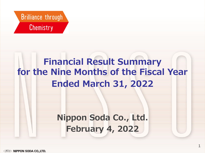

# **Financial Result Summary for the Nine Months of the Fiscal Year Ended March 31, 2022 Nippon Soda Co., Ltd. February 4, 2022**

1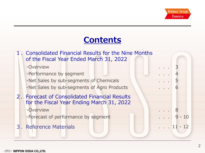# **Contents**

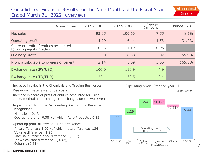### Consolidated Financial Results for the Nine Months of the Fiscal Year Ended March 31, 2022 (Overview)

| (Billions of yen)                                                | 2021/3 3Q | 2022/3 3Q | Change<br>(amount) | Change $(\% )$ |
|------------------------------------------------------------------|-----------|-----------|--------------------|----------------|
| Net sales                                                        | 93.05     | 100.60    | 7.55               | 8.1%           |
| Operating profit                                                 | 4.90      | 6.44      | 1.53               | 31.2%          |
| Share of profit of entities accounted<br>for using equity method | 0.23      | 1.19      | 0.96               |                |
| Ordinary profit                                                  | 5.50      | 8.58      | 3.07               | 55.9%          |
| Profit attributable to owners of parent                          | 2.14      | 5.69      | 3.55               | 165.8%         |
| Exchange rate (JPY/USD)                                          | 106.0     | 110.9     | 4.9                |                |
| Exchange rate (JPY/EUR)                                          | 122.1     | 130.5     | 8.4                |                |

・Increase in sales in the Chemicals and Trading Businesses

- ・Rise in raw materials and fuel costs
- ・Increase in share of profit of entities accounted for using equity method and exchange rate changes for the weak yen
- ・Impact of applying the "Accounting Standard for Revenue Recognition"

```
Net sales : 0.13
Operating profit : 0.38 (of which, Agro Products : 0.32)
```
・Operating profit difference : 1.53 breakdown

```
Price difference : 1.29 (of which, rate difference: 1.24)
Volume difference : 1.93
Material purchase price difference : (1.17)(of which, rate difference : (0.37))
Others : (0.51)
```
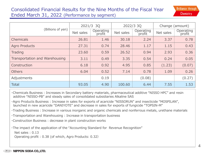#### Consolidated Financial Results for the Nine Months of the Fiscal Year Ended March 31, 2022 (Performance by segment)

|                                | 2021/3<br>3Q |                     |           | 2022/3 3Q           | Change (amount) |                     |  |
|--------------------------------|--------------|---------------------|-----------|---------------------|-----------------|---------------------|--|
| (Billions of yen)              | Net sales    | Operating<br>profit | Net sales | Operating<br>profit | Net sales       | Operating<br>profit |  |
| Chemicals                      | 26.81        | 1.46                | 30.18     | 2.24                | 3.37            | 0.78                |  |
| <b>Agro Products</b>           | 27.31        | 0.74                | 28.46     | 1.17                | 1.15            | 0.43                |  |
| Trading                        | 23.60        | 0.59                | 26.52     | 0.94                | 2.93            | 0.36                |  |
| Transportation and Warehousing | 3.11         | 0.49                | 3.35      | 0.54                | 0.24            | 0.05                |  |
| Construction                   | 6.18         | 0.92                | 4.95      | 0.85                | (1.23)          | (0.07)              |  |
| <b>Others</b>                  | 6.04         | 0.52                | 7.14      | 0.78                | 1.09            | 0.26                |  |
| Adjustments                    |              | 0.19                |           | (0.08)              |                 | (0.27)              |  |
| <b>Total</b>                   | 93.05        | 4.90                | 100.60    | 6.44                | 7.55            | 1.53                |  |

・Chemicals Business : Increases in Secondary battery materials, pharmaceutical additive "NISSO HPC" and resin additive "NISSO-PB" and steady sales of consolidated subsidiaries Alkaline SAS

・Agro Products Business : Increase in sales for exports of acaricide "NISSORUN" and insecticide "MOSPILAN", launched in new acaricide "DANIYOTE" and decrease in sales for exports of fungicide "TOPSIN-M"

・Trading Business : Increase in various inorganic and organic chemicals and nonferrous metals, urethane materials

・Transportation and Warehousing : Increase in transportation business

・Construction Business : decrease in plant construction works

of the "Accounting Standard for Revenue Recognition" The impact of the application of the "Accounting Standard for Revenue Recognition"<br>Net sales: 0.13

Net sales : 0.13

 $\mu$  which, agro i roducts.  $0.32$ Operating profit : 0.38 (of which, Agro Products: 0.32)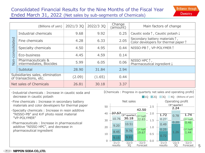#### Consolidated Financial Results for the Nine Months of the Fiscal Year Ended March 31, 2022 (Net sales by sub-segments of Chemicals)

| (Billions of yen)                                        |                                              | 2021/3 3Q | 2022/3 3Q | Change<br>(amount) | Main factors of change                                                                    |
|----------------------------------------------------------|----------------------------------------------|-----------|-----------|--------------------|-------------------------------------------------------------------------------------------|
| consolidated                                             | Industrial chemicals                         | 9.68      | 9.92      | 0.25               | Caustic soda $\uparrow$ , Caustic potash $\downarrow$                                     |
|                                                          | Fine chemicals                               | 4.28      | 6.33      | 2.05               | Secondary battery materials $\uparrow$ ,<br>Color developers for thermal paper $\uparrow$ |
|                                                          | Specialty chemicals                          | 4.50      | 4.95      | 0.44               | NISSO-PB↑, VP-POLYMER↑                                                                    |
|                                                          | Eco-business                                 | 4.45      | 4.59      | 0.14               |                                                                                           |
| Non                                                      | Pharmaceuticals &<br>intermediates, Biocides | 5.99      | 6.05      | 0.06               | NISSO HPC 1,<br>Pharmaceutical ingredient ↓                                               |
|                                                          | Subtotal                                     | 28,90     | 31.84     | 2.94               |                                                                                           |
| Subsidiaries sales, elimination<br>of transactions, etc. |                                              | (2.09)    | (1.65)    | 0.44               |                                                                                           |
| Net sales of Chemicals                                   |                                              | 26.81     | 30.18     | 3.37               |                                                                                           |

- ・Industrial chemicals : Increase in caustic soda and decrease in caustic potash
- ・Fine chemicals : Increase in secondary battery materials and color developers for thermal paper
- ・Specialty chemicals : Increase in resin additive "NISSO-PB" and KrF photo resist material "VP-POLYMER"
- ・Pharmaceuticals : Increase in pharmaceutical additive "NISSO HPC", and decrease in pharmaceutical ingredient



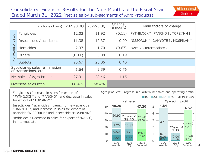#### Consolidated Financial Results for the Nine Months of the Fiscal Year Ended March 31, 2022 (Net sales by sub-segments of Agro Products)

| (Billions of yen)                                        |                           | 2021/3 3Q | 2022/3 3Q | Change<br>(amount) | Main factors of change                        |
|----------------------------------------------------------|---------------------------|-----------|-----------|--------------------|-----------------------------------------------|
| consolidated                                             | Fungicides                | 12.03     | 11.92     | (0.11)             | PYTHILOCK↑, PANCHO↑, TOPSIN-M↓                |
|                                                          | Insecticides / acaricides | 11.38     | 12.37     | 0.99               | NISSORUN↑, DANYOTE↑, MOSPILAN↑                |
|                                                          | <b>Herbicides</b>         | 2.37      | 1.70      | (0.67)             | NABU $\downarrow$ , Intermediate $\downarrow$ |
| Non-                                                     | <b>Others</b>             | (0.11)    | 0.08      | 0.19               |                                               |
|                                                          | Subtotal                  | 25.67     | 26,06     | 0.40               |                                               |
| Subsidiaries sales, elimination<br>of transactions, etc. |                           | 1.64      | 2.39      | 0.76               |                                               |
| Net sales of Agro Products                               |                           | 27.31     | 28,46     | 1.15               |                                               |
| Overseas sales ratio                                     |                           | 68.4%     | 68.4%     |                    |                                               |

- "PYTHILOCK" and "PANCHO", and decrease in sales for export of "TOPSIN-M"
- ・Insecticides / acaricides : Launch of new acaricide "DANYOTE", and increase in sales for export of acaricide "NISSORUN" and insecticide "MOSPILAN"
- ・Herbicides : Decrease in sales for export of "NABU", in intermediate

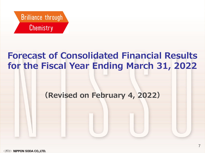

# **Forecast of Consolidated Financial Results for the Fiscal Year Ending March 31, 2022**

## **(Revised on February 4, 2022)**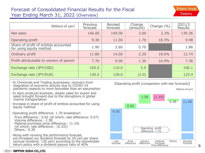#### Forecast of Consolidated Financial Results for the Fiscal Year Ending March 31, 2022 (Overview)

| (Billions of yen)                                                | Previous<br>forecast | Revised<br>forecast | Change<br>(amount) | Change $(\% )$ | 2021/3<br>Results |
|------------------------------------------------------------------|----------------------|---------------------|--------------------|----------------|-------------------|
| Net sales                                                        | 146.00               | 149.00              | 3.00               | 2.1%           | 139.36            |
| Operating profit                                                 | 9.30                 | 11.00               | 1.70               | 18.3%          | 9.98              |
| Share of profit of entities accounted<br>for using equity method | 1.90                 | 2.60                | 0.70               |                | 1.86              |
| Ordinary profit                                                  | 11.80                | 14.00               | 2.20               | 18.6%          | 12.74             |
| Profit attributable to owners of parent                          | 7.70                 | 9.00                | 1.30               | 16.9%          | 7.36              |
| Exchange rate (JPY/USD)                                          | 105.0                | 110.0               | 5.0                |                | 106.1             |
| Exchange rate (JPY/EUR)                                          | 130.0                | 128.0               | (2.0)              |                | 123.4             |

- ・In Chemicals and Trading businesses, recovery from stagnation of economic activity due to COVID-19 pandemic expects to more favorable than an assumption
- ・In Agro products business, steady sales for export and sales brought forward due to the disruptions in global marine transportation
- ・Increase in share of profit of entities accounted for using equity method
- ・Operating profit difference: 1.70 breakdown Price difference : 0.92 (of which, rate difference: 0.57) Volume difference : 1.58 Material purchase price difference : (1.19) (of which, rate difference : (0.33))  $\hat{O}$ thers :  $0.39$
- ・Along with revising the performance forecast, we increased our dividend forecast by 20 yen per share (annual dividend: 130 yen) according to the shareholder return policy with a dividend payout ratio of 40%

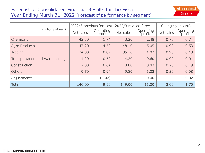#### Forecast of Consolidated Financial Results for the Fiscal Year Ending March 31, 2022 (Forecast of performance by segment)

|                                | 2022/3 previous forecast |                     |           | 2022/3 revised forecast | Change (amount) |                     |  |
|--------------------------------|--------------------------|---------------------|-----------|-------------------------|-----------------|---------------------|--|
| (Billions of yen)              | Net sales                | Operating<br>profit | Net sales | Operating<br>profit     | Net sales       | Operating<br>profit |  |
| <b>Chemicals</b>               | 42.50                    | 1.74                | 43.20     | 2.48                    | 0.70            | 0.74                |  |
| <b>Agro Products</b>           | 47.20                    | 4.52                | 48.10     | 5.05                    | 0.90            | 0.53                |  |
| Trading                        | 34.80                    | 0.89                | 35.70     | 1.02                    | 0.90            | 0.13                |  |
| Transportation and Warehousing | 4.20                     | 0.59                | 4.20      | 0.60                    | 0.00            | 0.01                |  |
| Construction                   | 7.80                     | 0.64                | 8.00      | 0.83                    | 0.20            | 0.19                |  |
| <b>Others</b>                  | 9.50                     | 0.94                | 9.80      | 1.02                    | 0.30            | 0.08                |  |
| Adjustments                    |                          | (0.02)              |           | 0.00                    |                 | 0.02                |  |
| <b>Total</b>                   | 146.00                   | 9.30                | 149.00    | 11.00                   | 3.00            | 1.70                |  |

【収益構成】

**Brilliance through** Chemistry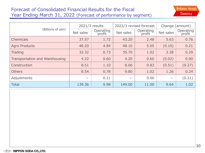#### Forecast of Consolidated Financial Results for the Fiscal Year Ending March 31, 2022 (Forecast of performance by segment)

|                                | 2021/3 results |                     |              | 2022/3 revised forecast | Change (amount) |                     |  |
|--------------------------------|----------------|---------------------|--------------|-------------------------|-----------------|---------------------|--|
| (Billions of yen)              | Net sales      | Operating<br>profit | Net sales    | Operating<br>profit     | Net sales       | Operating<br>profit |  |
| Chemicals                      | 37.57          | 1.72                | 43.20        | 2.48                    | 5.63            | 0.76                |  |
| <b>Agro Products</b>           | 48.20          | 4.84                | 48.10        | 5.05                    | (0.10)          | 0.21                |  |
| Trading                        | 32.32          | 0.73<br>35.70       |              | 1.02                    | 3.38            | 0.29                |  |
| Transportation and Warehousing | 4.22           | 0.60                | 4.20         | 0.60                    | (0.02)          | 0.00                |  |
| Construction                   | 8.51           | 1.10                | 8.00<br>0.83 |                         | (0.51)          | (0.27)              |  |
| <b>Others</b>                  | 8.54           | 0.78                | 9.80         | 1.02                    | 1.26            | 0.24                |  |
| Adjustments                    |                | 0.21                |              | 0.00                    | —               | (0.21)              |  |
| <b>Total</b>                   | 139.36         | 9.98                | 149.00       | 11.00                   | 9.64            | 1.02                |  |

【収益構成】

**Brilliance through** Chemistry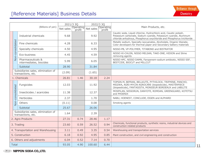## [Reference Materials] Business Details

| (Billions of yen) |                  | 2022/3 30<br>2021/3 30                                   |                     |           |                            |                     |                                                                                                                                                                                                                |
|-------------------|------------------|----------------------------------------------------------|---------------------|-----------|----------------------------|---------------------|----------------------------------------------------------------------------------------------------------------------------------------------------------------------------------------------------------------|
|                   |                  | Net sales                                                | Operating<br>profit | Net sales | <b>Operating</b><br>profit | Main Products, etc. |                                                                                                                                                                                                                |
|                   |                  | Industrial chemicals                                     | 9.68                |           | 9.92                       |                     | Caustic soda, Liquid chlorine, Hydrochloric acid, Caustic potash,<br>Potassium carbonate, Sodium cyanide, Potassium cyanide, Aluminum<br>chloride anhydrous, Phosphorus oxychloride and Phosphorus trichloride |
|                   |                  | Fine chemicals                                           | 4.28                |           | 6.33                       |                     | Metallic sodium, Specialty isocyanates, Alcoholate, Organic titanate,<br>Color developers for thermal paper and Secondary battery materials                                                                    |
|                   |                  | Specialty chemicals                                      | 4.50                |           | 4.95                       |                     | NISSO-PB, VP-POLYMER, TITABOND and BISTRATOR                                                                                                                                                                   |
|                   | Non-consolidated | Eco-business                                             | 4.45                |           | 4.59                       |                     | NISSO HI-CHLON, NISSO MELSAN, TAKE-ONE, HIDION and Slime<br>removing agents                                                                                                                                    |
|                   |                  | Pharmaceuticals &<br>intermediates, biocides             | 5.99                |           | 6.05                       |                     | NISSO HPC, NISSO DAMN, Faropenem-sodium antibiotic, NISSO SSF,<br>BESTCIDE, BIOCUT and MILLCUT                                                                                                                 |
|                   |                  | Subtotal                                                 | 28.90               |           | 31.84                      |                     |                                                                                                                                                                                                                |
|                   |                  | Subsidiaries sales, elimination of<br>transactions, etc. | (2.09)              |           | (1.65)                     |                     |                                                                                                                                                                                                                |
| 1. Chemicals      |                  |                                                          | 26.81               | 1.46      | 30.18                      | 2.24                |                                                                                                                                                                                                                |
| Non-consolidated  |                  | Fungicides                                               | 12.03               |           | 11.92                      |                     | TOPSIN-M, BEFRAN, BELLKUTE, PYTHILOCK, TRIFMINE, PANCHO,<br>MIGIWA, AGRI-MYCIN AGROCARE (biopesticide), MASTERPIECE<br>(biopesticide), FANTASISTA, MONSIEUR BORDEAUX and LABILITE                              |
|                   |                  | Insecticides / acaricides                                | 11.38               |           | 12.37                      |                     | MOSPILAN, NISSORUN, DANYOTE, ROMDAN, GREENGUARD, KOTETSU<br>and PHOENIX                                                                                                                                        |
|                   |                  | Herbicides                                               | 2.37                |           | 1.70                       |                     | NABU, HOENEST, CONCLUDE, EIGEN and ALPHARD                                                                                                                                                                     |
|                   |                  | Others                                                   | (0.11)              |           | 0.08                       |                     | Smoking agents                                                                                                                                                                                                 |
|                   |                  | Subtotal                                                 | 25.67               |           | 26.06                      |                     |                                                                                                                                                                                                                |
|                   |                  | Subsidiaries sales, elimination of<br>transactions, etc. | 1.64                |           | 2.39                       |                     |                                                                                                                                                                                                                |
|                   |                  | 2. Agro Products                                         | 27.31               | 0.74      | 28.46                      | 1.17                |                                                                                                                                                                                                                |
|                   |                  | 3. Trading                                               | 23.60               | 0.59      | 26.52                      | 0.94                | Chemicals, functional products, synthetic resins, industrial devices and<br>construction-related products                                                                                                      |
|                   |                  | 4. Transportation and Warehousing                        | 3.11                | 0.49      | 3.35                       | 0.54                | Warehousing and transportation services                                                                                                                                                                        |
|                   |                  | 5. Construction                                          | 6.18                | 0.92      | 4.95                       | 0.85                | Plant construction, and civil engineering and construction                                                                                                                                                     |
|                   |                  | 6. Others and adjustments                                | 6.04                | 0.52      | 7.14                       | 0.70                |                                                                                                                                                                                                                |
|                   | <b>Total</b>     |                                                          | 93.05               | 4.90      | 100.60                     | 6.44                |                                                                                                                                                                                                                |

#### *Nisso* **NIPPON SODA CO., LTD.**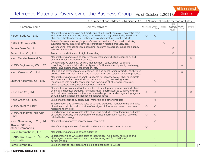**Brilliance through** 

#### [Reference Materials] Overview of the Business Group (As of October 1,2021)

Chemistry

|                                       |                                                                                                                                                                                                                                                                                                         |                    |                |                | ○ Number of equity-method affiliates: 3 |                             |                |
|---------------------------------------|---------------------------------------------------------------------------------------------------------------------------------------------------------------------------------------------------------------------------------------------------------------------------------------------------------|--------------------|----------------|----------------|-----------------------------------------|-----------------------------|----------------|
| Company name                          | <b>Business activities</b>                                                                                                                                                                                                                                                                              | Chemicals Products |                | Trading        | Trans-<br>and Ware-<br>housing          | portation Construc-<br>tion | Others         |
| Nippon Soda Co., Ltd.                 | Manufacturing, processing and marketing of industrial chemicals, synthetic resin<br>and other plastic materials, dyes, pharmaceuticals, agrochemicals, veterinary<br>pharmaceuticals, and various other kinds of chemical industrial products                                                           | $\circledcirc$     | $\circledcirc$ |                |                                         |                             |                |
| Nisso Shoji Co., Ltd.                 | Sales in Japan and export/import of chemical products, functional products,<br>synthetic resins, industrial devices, construction-related products, etc.                                                                                                                                                |                    |                | $\circledcirc$ |                                         |                             |                |
| Sanwa Soko Co, Ltd.                   | Warehousing, transportation, packaging, customs brokerage, insurance agency<br>services and leasing                                                                                                                                                                                                     |                    |                |                | $\circledcirc$                          |                             |                |
| Sanso Unyu Co., Ltd.                  | Truck transportation and freight forwarding                                                                                                                                                                                                                                                             |                    |                |                | $\circledcirc$                          |                             |                |
| Nisso Metallochemical Co., Ltd.       | Manufacturing and sales of non-ferrous metals and industrial chemicals, and<br>environmental development business                                                                                                                                                                                       |                    |                |                |                                         |                             | $\circledcirc$ |
| NISSO Engineering CO., LTD.           | Comprehensive planning, design, management, construction, sales and<br>consulting for industrial and other types of facilities and equipment, machinery,<br>piping, civil engineering, construction, etc.                                                                                               |                    |                |                |                                         | $\circledcirc$              |                |
| Nisso Kensetsu Co., Ltd.              | Planning and execution of civil engineering and construction projects, earthworks<br>projects, soil and rock mining, and manufacturing and sales of concrete products                                                                                                                                   |                    |                |                |                                         | $\circledcirc$              |                |
| Shinfuji Kaseiyaku Co., Ltd.          | Manufacturing and sales of smoking agents for agrochemicals, pharmaceuticals<br>and veterinary pharmaceuticals, and manufacturing, processing, sales,<br>repackaging into smaller containers and packaging of other agrochemicals,<br>pharmaceuticals and general industrial chemicals                  |                    | $\circledcirc$ |                |                                         |                             |                |
| Nisso Fine Co., Ltd.                  | Manufacturing, sales and trial production of development products of industrial<br>chemicals, chemical products, functional dyes, pharmaceuticals, agrochemicals<br>and their intermediates, synthetic resin molded products, deoxygenating agents,<br>dehumidifying agents and household general goods | $\odot$            | $\circledcirc$ |                |                                         |                             | $\circledcirc$ |
| Nisso Green Co., Ltd.                 | Sales of agrochemicals, agricultural materials and other products                                                                                                                                                                                                                                       |                    | $\circledcirc$ |                |                                         |                             |                |
| NISSO AMERICA INC.                    | Export/import and wholesale sales of various products, manufacturing and sales<br>of various products, and provision of consigned information research services<br>related to technology                                                                                                                | $\circledcirc$     | $\circledcirc$ |                |                                         |                             |                |
| NISSO CHEMICAL EUROPE<br>GmbH         | Export/import and wholesale sales of various products, manufacturing and sales<br>of various products, and provision of consigned information research services<br>related to technology                                                                                                                | $\circledcirc$     | $\circledcirc$ |                |                                         |                             |                |
| Nisso Namhae Agro Co., Ltd.           | Manufacturing of active agrochemical ingredients                                                                                                                                                                                                                                                        |                    | $\circledcirc$ |                |                                         |                             |                |
| Alkaline SAS and<br>other 4 companies | Manufacturing and sales of metallic sodium, chlorine and other products                                                                                                                                                                                                                                 | $\circledcirc$     |                |                |                                         |                             |                |
| Novus International, Inc.             | Manufacturing and sales of feed additives                                                                                                                                                                                                                                                               | $\bigcirc$         |                |                |                                         |                             |                |
| IHARABRAS S/A. INDÚSTRIAS<br>QUÍMICAS | Export/import and wholesale sales of insecticides, fungicides, herbicides and<br>other agrochemical products, and manufacturing and formulation of<br>agrochemicals                                                                                                                                     |                    | $\bigcirc$     |                |                                         |                             |                |
| Certis Europe B.V.                    | Sales of chemical pesticides and biological pesticides in Europe                                                                                                                                                                                                                                        |                    | $\bigcirc$     |                |                                         |                             |                |

#### *Nisso* **NIPPON SODA CO., LTD.**